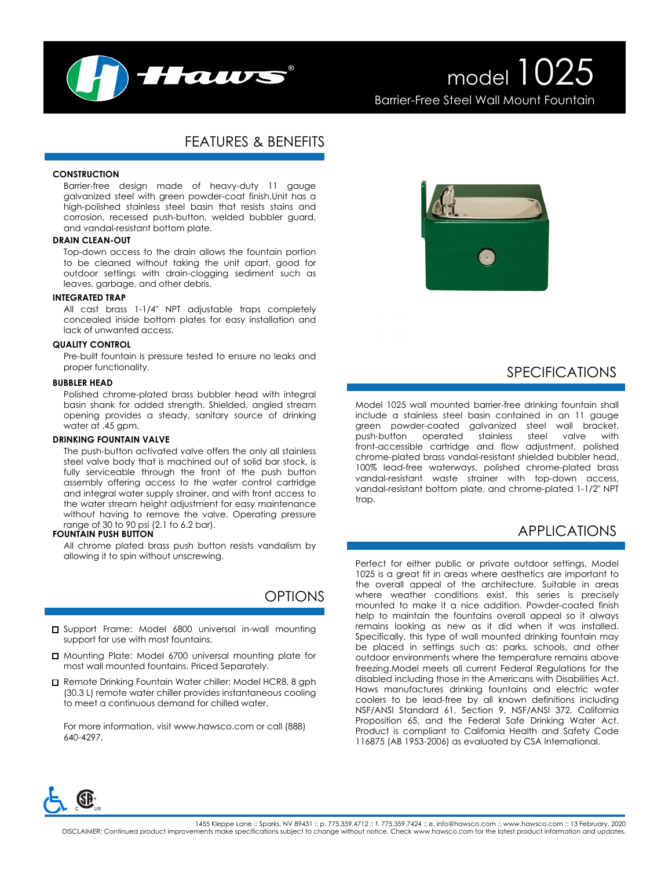

# model 1025 Barrier-Free Steel Wall Mount Fountain

# FEATURES & BENEFITS

### **CONSTRUCTION**

Barrier-free design made of heavy-duty 11 gauge galvanized steel with green powder-coat finish.Unit has a high-polished stainless steel basin that resists stains and corrosion, recessed push-button, welded bubbler guard, and vandal-resistant bottom plate.

### **DRAIN CLEAN-OUT**

Top-down access to the drain allows the fountain portion to be cleaned without taking the unit apart, good for outdoor settings with drain-clogging sediment such as leaves, garbage, and other debris.

#### **INTEGRATED TRAP**

All cast brass 1-1/4" NPT adjustable traps completely concealed inside bottom plates for easy installation and lack of unwanted access.

#### **QUALITY CONTROL**

Pre-built fountain is pressure tested to ensure no leaks and proper functionality.

#### **BUBBLER HEAD**

Polished chrome-plated brass bubbler head with integral basin shank for added strength. Shielded, angled stream opening provides a steady, sanitary source of drinking water at .45 gpm.

### **DRINKING FOUNTAIN VALVE**

The push-button activated valve offers the only all stainless steel valve body that is machined out of solid bar stock, is fully serviceable through the front of the push button assembly offering access to the water control cartridge and integral water supply strainer, and with front access to the water stream height adjustment for easy maintenance without having to remove the valve. Operating pressure range of 30 to 90 psi (2.1 to 6.2 bar).

### **FOUNTAIN PUSH BUTTON**

All chrome plated brass push button resists vandalism by allowing it to spin without unscrewing.

# OPTIONS

- □ Support Frame: Model 6800 universal in-wall mounting support for use with most fountains.
- Mounting Plate: Model 6700 universal mounting plate for most wall mounted fountains. Priced Separately.
- Remote Drinking Fountain Water chiller: Model HCR8, 8 gph (30.3 L) remote water chiller provides instantaneous cooling to meet a continuous demand for chilled water.

For more information, visit www.hawsco.com or call (888) 640-4297.



## SPECIFICATIONS

Model 1025 wall mounted barrier-free drinking fountain shall include a stainless steel basin contained in an 11 gauge green powder-coated galvanized steel wall bracket, push-button operated stainless steel valve with front-accessible cartridge and flow adjustment, polished chrome-plated brass vandal-resistant shielded bubbler head, 100% lead-free waterways, polished chrome-plated brass vandal-resistant waste strainer with top-down access, vandal-resistant bottom plate, and chrome-plated 1-1/2" NPT trap.

# APPLICATIONS

Perfect for either public or private outdoor settings, Model 1025 is a great fit in areas where aesthetics are important to the overall appeal of the architecture. Suitable in areas where weather conditions exist, this series is precisely mounted to make it a nice addition. Powder-coated finish help to maintain the fountains overall appeal so it always remains looking as new as it did when it was installed. Specifically, this type of wall mounted drinking fountain may be placed in settings such as: parks, schools, and other outdoor environments where the temperature remains above freezing.Model meets all current Federal Regulations for the disabled including those in the Americans with Disabilities Act. Haws manufactures drinking fountains and electric water coolers to be lead-free by all known definitions including NSF/ANSI Standard 61, Section 9, NSF/ANSI 372, California Proposition 65, and the Federal Safe Drinking Water Act. Product is compliant to California Health and Safety Code 116875 (AB 1953-2006) as evaluated by CSA International.